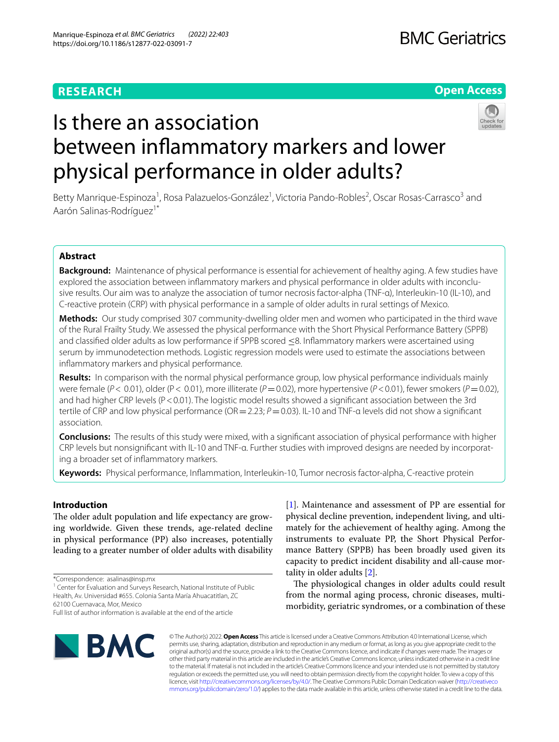# **RESEARCH**

# **Open Access**

# Is there an association between infammatory markers and lower physical performance in older adults?

Betty Manrique-Espinoza<sup>1</sup>, Rosa Palazuelos-González<sup>1</sup>, Victoria Pando-Robles<sup>2</sup>, Oscar Rosas-Carrasco<sup>3</sup> and Aarón Salinas-Rodríguez<sup>1\*</sup>

# **Abstract**

**Background:** Maintenance of physical performance is essential for achievement of healthy aging. A few studies have explored the association between inflammatory markers and physical performance in older adults with inconclusive results. Our aim was to analyze the association of tumor necrosis factor-alpha (TNF-α), Interleukin-10 (IL-10), and C-reactive protein (CRP) with physical performance in a sample of older adults in rural settings of Mexico.

**Methods:** Our study comprised 307 community-dwelling older men and women who participated in the third wave of the Rural Frailty Study. We assessed the physical performance with the Short Physical Performance Battery (SPPB) and classified older adults as low performance if SPPB scored <8. Inflammatory markers were ascertained using serum by immunodetection methods. Logistic regression models were used to estimate the associations between infammatory markers and physical performance.

**Results:** In comparison with the normal physical performance group, low physical performance individuals mainly were female (*P*< 0.01), older (P< 0.01), more illiterate (*P*=0.02), more hypertensive (*P*<0.01), fewer smokers (*P*=0.02), and had higher CRP levels (P < 0.01). The logistic model results showed a significant association between the 3rd tertile of CRP and low physical performance (OR = 2.23; *P* = 0.03). IL-10 and TNF-α levels did not show a significant association.

**Conclusions:** The results of this study were mixed, with a signifcant association of physical performance with higher CRP levels but nonsignifcant with IL-10 and TNF-α. Further studies with improved designs are needed by incorporat‑ ing a broader set of infammatory markers.

**Keywords:** Physical performance, Infammation, Interleukin-10, Tumor necrosis factor-alpha, C-reactive protein

# **Introduction**

The older adult population and life expectancy are growing worldwide. Given these trends, age-related decline in physical performance (PP) also increases, potentially leading to a greater number of older adults with disability

\*Correspondence: asalinas@insp.mx

<sup>1</sup> Center for Evaluation and Surveys Research, National Institute of Public Health, Av. Universidad #655. Colonia Santa María Ahuacatitlan, ZC 62100 Cuernavaca, Mor, Mexico

[[1\]](#page-6-0). Maintenance and assessment of PP are essential for physical decline prevention, independent living, and ultimately for the achievement of healthy aging. Among the instruments to evaluate PP, the Short Physical Performance Battery (SPPB) has been broadly used given its capacity to predict incident disability and all-cause mortality in older adults [[2\]](#page-6-1).

The physiological changes in older adults could result from the normal aging process, chronic diseases, multimorbidity, geriatric syndromes, or a combination of these



© The Author(s) 2022. **Open Access** This article is licensed under a Creative Commons Attribution 4.0 International License, which permits use, sharing, adaptation, distribution and reproduction in any medium or format, as long as you give appropriate credit to the original author(s) and the source, provide a link to the Creative Commons licence, and indicate if changes were made. The images or other third party material in this article are included in the article's Creative Commons licence, unless indicated otherwise in a credit line to the material. If material is not included in the article's Creative Commons licence and your intended use is not permitted by statutory regulation or exceeds the permitted use, you will need to obtain permission directly from the copyright holder. To view a copy of this licence, visit [http://creativecommons.org/licenses/by/4.0/.](http://creativecommons.org/licenses/by/4.0/) The Creative Commons Public Domain Dedication waiver ([http://creativeco](http://creativecommons.org/publicdomain/zero/1.0/) [mmons.org/publicdomain/zero/1.0/](http://creativecommons.org/publicdomain/zero/1.0/)) applies to the data made available in this article, unless otherwise stated in a credit line to the data.

Full list of author information is available at the end of the article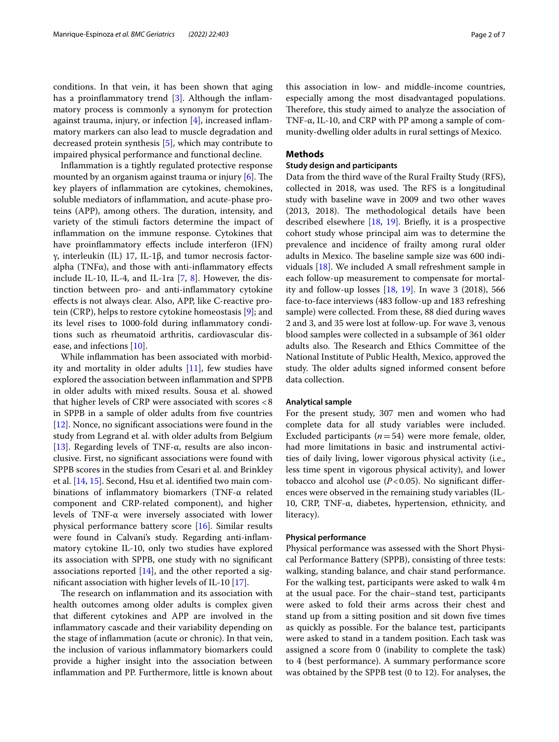conditions. In that vein, it has been shown that aging has a proinflammatory trend  $[3]$  $[3]$ . Although the inflammatory process is commonly a synonym for protection against trauma, injury, or infection [[4\]](#page-6-3), increased infammatory markers can also lead to muscle degradation and decreased protein synthesis [\[5](#page-6-4)], which may contribute to impaired physical performance and functional decline.

Infammation is a tightly regulated protective response mounted by an organism against trauma or injury  $[6]$  $[6]$ . The key players of infammation are cytokines, chemokines, soluble mediators of infammation, and acute-phase proteins (APP), among others. The duration, intensity, and variety of the stimuli factors determine the impact of infammation on the immune response. Cytokines that have proinflammatory effects include interferon (IFN) γ, interleukin (IL) 17, IL-1β, and tumor necrosis factoralpha (TNF $\alpha$ ), and those with anti-inflammatory effects include IL-10, IL-4, and IL-1ra  $[7, 8]$  $[7, 8]$  $[7, 8]$ . However, the distinction between pro- and anti-infammatory cytokine efects is not always clear. Also, APP, like C-reactive protein (CRP), helps to restore cytokine homeostasis [[9\]](#page-6-8); and its level rises to 1000-fold during infammatory conditions such as rheumatoid arthritis, cardiovascular disease, and infections [[10\]](#page-6-9).

While infammation has been associated with morbidity and mortality in older adults [[11](#page-6-10)], few studies have explored the association between infammation and SPPB in older adults with mixed results. Sousa et al. showed that higher levels of CRP were associated with scores <8 in SPPB in a sample of older adults from fve countries [[12\]](#page-6-11). Nonce, no signifcant associations were found in the study from Legrand et al. with older adults from Belgium [[13\]](#page-6-12). Regarding levels of TNF- $\alpha$ , results are also inconclusive. First, no signifcant associations were found with SPPB scores in the studies from Cesari et al. and Brinkley et al. [\[14](#page-6-13), [15](#page-6-14)]. Second, Hsu et al. identifed two main combinations of infammatory biomarkers (TNF-α related component and CRP-related component), and higher levels of TNF-α were inversely associated with lower physical performance battery score [\[16](#page-6-15)]. Similar results were found in Calvani's study. Regarding anti-infammatory cytokine IL-10, only two studies have explored its association with SPPB, one study with no signifcant associations reported  $[14]$  $[14]$ , and the other reported a signifcant association with higher levels of IL-10 [\[17](#page-6-16)].

The research on inflammation and its association with health outcomes among older adults is complex given that diferent cytokines and APP are involved in the infammatory cascade and their variability depending on the stage of infammation (acute or chronic). In that vein, the inclusion of various infammatory biomarkers could provide a higher insight into the association between infammation and PP. Furthermore, little is known about

this association in low- and middle-income countries, especially among the most disadvantaged populations. Therefore, this study aimed to analyze the association of TNF-α, IL-10, and CRP with PP among a sample of community-dwelling older adults in rural settings of Mexico.

#### **Methods**

#### **Study design and participants**

Data from the third wave of the Rural Frailty Study (RFS), collected in 2018, was used. The RFS is a longitudinal study with baseline wave in 2009 and two other waves (2013, 2018). The methodological details have been described elsewhere [[18,](#page-6-17) [19](#page-6-18)]. Briefy, it is a prospective cohort study whose principal aim was to determine the prevalence and incidence of frailty among rural older adults in Mexico. The baseline sample size was 600 individuals [\[18](#page-6-17)]. We included A small refreshment sample in each follow-up measurement to compensate for mortality and follow-up losses [[18,](#page-6-17) [19](#page-6-18)]. In wave 3 (2018), 566 face-to-face interviews (483 follow-up and 183 refreshing sample) were collected. From these, 88 died during waves 2 and 3, and 35 were lost at follow-up. For wave 3, venous blood samples were collected in a subsample of 361 older adults also. The Research and Ethics Committee of the National Institute of Public Health, Mexico, approved the study. The older adults signed informed consent before data collection.

#### **Analytical sample**

For the present study, 307 men and women who had complete data for all study variables were included. Excluded participants (*n*=54) were more female, older, had more limitations in basic and instrumental activities of daily living, lower vigorous physical activity (i.e., less time spent in vigorous physical activity), and lower tobacco and alcohol use  $(P<0.05)$ . No significant differences were observed in the remaining study variables (IL-10, CRP, TNF- $\alpha$ , diabetes, hypertension, ethnicity, and literacy).

#### **Physical performance**

Physical performance was assessed with the Short Physical Performance Battery (SPPB), consisting of three tests: walking, standing balance, and chair stand performance. For the walking test, participants were asked to walk 4m at the usual pace. For the chair–stand test, participants were asked to fold their arms across their chest and stand up from a sitting position and sit down fve times as quickly as possible. For the balance test, participants were asked to stand in a tandem position. Each task was assigned a score from 0 (inability to complete the task) to 4 (best performance). A summary performance score was obtained by the SPPB test (0 to 12). For analyses, the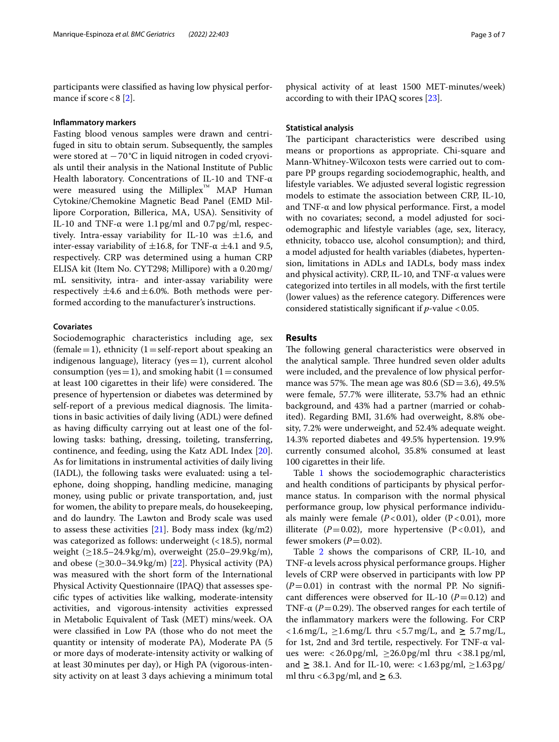participants were classifed as having low physical performance if score  $< 8$  [[2](#page-6-1)].

#### **Infammatory markers**

Fasting blood venous samples were drawn and centrifuged in situ to obtain serum. Subsequently, the samples were stored at −70°C in liquid nitrogen in coded cryovials until their analysis in the National Institute of Public Health laboratory. Concentrations of IL-10 and TNF-α were measured using the Milliplex<sup>™</sup> MAP Human Cytokine/Chemokine Magnetic Bead Panel (EMD Millipore Corporation, Billerica, MA, USA). Sensitivity of IL-10 and TNF- $\alpha$  were 1.1 pg/ml and 0.7 pg/ml, respectively. Intra-essay variability for IL-10 was  $\pm 1.6$ , and inter-essay variability of  $\pm 16.8$ , for TNF- $\alpha \pm 4.1$  and 9.5, respectively. CRP was determined using a human CRP ELISA kit (Item No. CYT298; Millipore) with a 0.20mg/ mL sensitivity, intra- and inter-assay variability were respectively  $\pm 4.6$  and  $\pm 6.0$ %. Both methods were performed according to the manufacturer's instructions.

#### **Covariates**

Sociodemographic characteristics including age, sex (female = 1), ethnicity  $(1=$  self-report about speaking an indigenous language), literacy ( $yes=1$ ), current alcohol consumption (yes = 1), and smoking habit (1 = consumed at least 100 cigarettes in their life) were considered. The presence of hypertension or diabetes was determined by self-report of a previous medical diagnosis. The limitations in basic activities of daily living (ADL) were defned as having difficulty carrying out at least one of the following tasks: bathing, dressing, toileting, transferring, continence, and feeding, using the Katz ADL Index [\[20](#page-6-19)]. As for limitations in instrumental activities of daily living (IADL), the following tasks were evaluated: using a telephone, doing shopping, handling medicine, managing money, using public or private transportation, and, just for women, the ability to prepare meals, do housekeeping, and do laundry. The Lawton and Brody scale was used to assess these activities  $[21]$  $[21]$ . Body mass index  $(kg/m2)$ was categorized as follows: underweight (<18.5), normal weight (≥18.5–24.9kg/m), overweight (25.0–29.9kg/m), and obese  $(\geq 30.0-34.9 \text{ kg/m})$  [\[22](#page-6-21)]. Physical activity (PA) was measured with the short form of the International Physical Activity Questionnaire (IPAQ) that assesses specifc types of activities like walking, moderate-intensity activities, and vigorous-intensity activities expressed in Metabolic Equivalent of Task (MET) mins/week. OA were classifed in Low PA (those who do not meet the quantity or intensity of moderate PA), Moderate PA (5 or more days of moderate-intensity activity or walking of at least 30minutes per day), or High PA (vigorous-intensity activity on at least 3 days achieving a minimum total

physical activity of at least 1500 MET-minutes/week) according to with their IPAQ scores [\[23\]](#page-6-22).

#### **Statistical analysis**

The participant characteristics were described using means or proportions as appropriate. Chi-square and Mann-Whitney-Wilcoxon tests were carried out to compare PP groups regarding sociodemographic, health, and lifestyle variables. We adjusted several logistic regression models to estimate the association between CRP, IL-10, and TNF-α and low physical performance. First, a model with no covariates; second, a model adjusted for sociodemographic and lifestyle variables (age, sex, literacy, ethnicity, tobacco use, alcohol consumption); and third, a model adjusted for health variables (diabetes, hypertension, limitations in ADLs and IADLs, body mass index and physical activity). CRP, IL-10, and TNF- $\alpha$  values were categorized into tertiles in all models, with the frst tertile (lower values) as the reference category. Diferences were considered statistically signifcant if *p*-value <0.05.

#### **Results**

The following general characteristics were observed in the analytical sample. Three hundred seven older adults were included, and the prevalence of low physical performance was 57%. The mean age was 80.6 (SD = 3.6), 49.5% were female, 57.7% were illiterate, 53.7% had an ethnic background, and 43% had a partner (married or cohabited). Regarding BMI, 31.6% had overweight, 8.8% obesity, 7.2% were underweight, and 52.4% adequate weight. 14.3% reported diabetes and 49.5% hypertension. 19.9% currently consumed alcohol, 35.8% consumed at least 100 cigarettes in their life.

Table [1](#page-3-0) shows the sociodemographic characteristics and health conditions of participants by physical performance status. In comparison with the normal physical performance group, low physical performance individuals mainly were female  $(P<0.01)$ , older  $(P<0.01)$ , more illiterate  $(P=0.02)$ , more hypertensive  $(P<0.01)$ , and fewer smokers  $(P=0.02)$ .

Table [2](#page-3-1) shows the comparisons of CRP, IL-10, and TNF-α levels across physical performance groups. Higher levels of CRP were observed in participants with low PP  $(P=0.01)$  in contrast with the normal PP. No significant differences were observed for IL-10  $(P=0.12)$  and TNF- $\alpha$  ( $P = 0.29$ ). The observed ranges for each tertile of the infammatory markers were the following. For CRP <1.6mg/L, ≥1.6mg/L thru <5.7mg/L, and **≥** 5.7mg/L, for 1st, 2nd and 3rd tertile, respectively. For TNF-α values were: <26.0pg/ml,  $\geq$ 26.0pg/ml thru <38.1pg/ml, and **≥** 38.1. And for IL-10, were: <1.63pg/ml, ≥1.63pg/ ml thru <6.3pg/ml, and **≥** 6.3.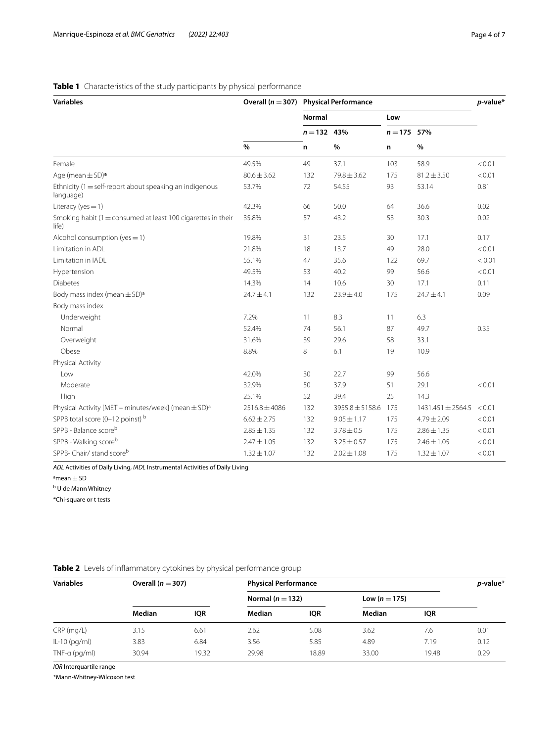## <span id="page-3-0"></span>**Table 1** Characteristics of the study participants by physical performance

| <b>Variables</b>                                                         |                   | Overall ( $n = 307$ ) Physical Performance |                 |                    |                   | $p$ -value* |
|--------------------------------------------------------------------------|-------------------|--------------------------------------------|-----------------|--------------------|-------------------|-------------|
|                                                                          | $\%$              | Normal                                     |                 | Low                |                   |             |
|                                                                          |                   | $n = 132$ 43%<br>n                         | $\%$            | $n = 175$ 57%<br>n |                   |             |
|                                                                          |                   |                                            |                 |                    | %                 |             |
| Female                                                                   | 49.5%             | 49                                         | 37.1            | 103                | 58.9              | < 0.01      |
| Age (mean $\pm$ SD) <sup>a</sup>                                         | $80.6 \pm 3.62$   | 132                                        | $79.8 \pm 3.62$ | 175                | $81.2 \pm 3.50$   | < 0.01      |
| Ethnicity (1 = self-report about speaking an indigenous<br>language)     | 53.7%             | 72                                         | 54.55           | 93                 | 53.14             | 0.81        |
| Literacy (yes = $1$ )                                                    | 42.3%             | 66                                         | 50.0            | 64                 | 36.6              | 0.02        |
| Smoking habit ( $1 =$ consumed at least 100 cigarettes in their<br>life) | 35.8%             | 57                                         | 43.2            | 53                 | 30.3              | 0.02        |
| Alcohol consumption (yes $= 1$ )                                         | 19.8%             | 31                                         | 23.5            | 30                 | 17.1              | 0.17        |
| Limitation in ADL                                                        | 21.8%             | 18                                         | 13.7            | 49                 | 28.0              | < 0.01      |
| Limitation in IADL                                                       | 55.1%             | 47                                         | 35.6            | 122                | 69.7              | < 0.01      |
| Hypertension                                                             | 49.5%             | 53                                         | 40.2            | 99                 | 56.6              | < 0.01      |
| <b>Diabetes</b>                                                          | 14.3%             | 14                                         | 10.6            | 30                 | 17.1              | 0.11        |
| Body mass index (mean $\pm$ SD) <sup>a</sup>                             | $24.7 \pm 4.1$    | 132                                        | $23.9 \pm 4.0$  | 175                | $24.7 \pm 4.1$    | 0.09        |
| Body mass index                                                          |                   |                                            |                 |                    |                   |             |
| Underweight                                                              | 7.2%              | 11                                         | 8.3             | 11                 | 6.3               |             |
| Normal                                                                   | 52.4%             | 74                                         | 56.1            | 87                 | 49.7              | 0.35        |
| Overweight                                                               | 31.6%             | 39                                         | 29.6            | 58                 | 33.1              |             |
| Obese                                                                    | 8.8%              | 8                                          | 6.1             | 19                 | 10.9              |             |
| Physical Activity                                                        |                   |                                            |                 |                    |                   |             |
| Low                                                                      | 42.0%             | 30                                         | 22.7            | 99                 | 56.6              |             |
| Moderate                                                                 | 32.9%             | 50                                         | 37.9            | 51                 | 29.1              | < 0.01      |
| High                                                                     | 25.1%             | 52                                         | 39.4            | 25                 | 14.3              |             |
| Physical Activity [MET - minutes/week] (mean ± SD) <sup>a</sup>          | $2516.8 \pm 4086$ | 132                                        | 3955.8 ± 5158.6 | 175                | 1431.451 ± 2564.5 | < 0.01      |
| SPPB total score (0-12 poinst) b                                         | $6.62 \pm 2.75$   | 132                                        | $9.05 \pm 1.17$ | 175                | $4.79 \pm 2.09$   | < 0.01      |
| SPPB - Balance scoreb                                                    | $2.85 \pm 1.35$   | 132                                        | $3.78 \pm 0.5$  | 175                | $2.86 \pm 1.35$   | < 0.01      |
| SPPB - Walking scoreb                                                    | $2.47 \pm 1.05$   | 132                                        | $3.25 \pm 0.57$ | 175                | $2.46 \pm 1.05$   | < 0.01      |
| SPPB- Chair/ stand scoreb                                                | $1.32 \pm 1.07$   | 132                                        | $2.02 \pm 1.08$ | 175                | $1.32 \pm 1.07$   | < 0.01      |

*ADL* Activities of Daily Living, *IADL* Instrumental Activities of Daily Living

 $a$ mean  $\pm$  SD

<sup>b</sup> U de Mann Whitney

\*Chi-square or t tests

<span id="page-3-1"></span>

| Table 2 Levels of inflammatory cytokines by physical performance group |  |  |  |
|------------------------------------------------------------------------|--|--|--|
|------------------------------------------------------------------------|--|--|--|

| <b>Variables</b> | Overall $(n = 307)$ |            | <b>Physical Performance</b> | $p$ -value* |                 |            |      |
|------------------|---------------------|------------|-----------------------------|-------------|-----------------|------------|------|
|                  |                     |            | Normal ( $n = 132$ )        |             | Low $(n = 175)$ |            |      |
|                  | Median              | <b>IQR</b> | Median                      | IQR         | Median          | <b>IQR</b> |      |
| CRP (mg/L)       | 3.15                | 6.61       | 2.62                        | 5.08        | 3.62            | 7.6        | 0.01 |
| $ L-10$ (pg/ml)  | 3.83                | 6.84       | 3.56                        | 5.85        | 4.89            | 7.19       | 0.12 |
| $TNF-a$ (pg/ml)  | 30.94               | 19.32      | 29.98                       | 8.89        | 33.00           | 19.48      | 0.29 |

*IQR* Interquartile range

\*Mann-Whitney-Wilcoxon test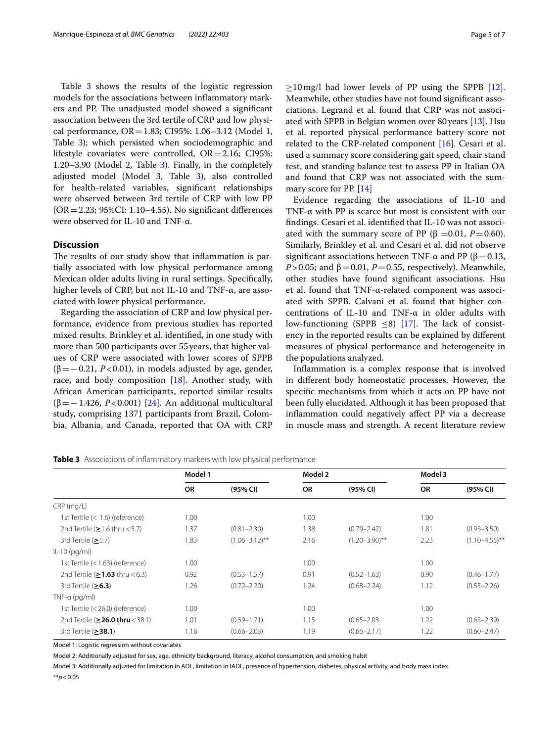Table [3](#page-4-0) shows the results of the logistic regression models for the associations between infammatory markers and PP. The unadjusted model showed a significant association between the 3rd tertile of CRP and low physical performance, OR=1.83; CI95%: 1.06–3.12 (Model 1, Table [3](#page-4-0)); which persisted when sociodemographic and lifestyle covariates were controlled, OR=2.16; CI95%: 1.20–3.90 (Model 2, Table  $3$ ). Finally, in the completely adjusted model (Model 3, Table [3\)](#page-4-0), also controlled for health-related variables, signifcant relationships were observed between 3rd tertile of CRP with low PP  $(OR = 2.23; 95\% CI: 1.10–4.55)$ . No significant differences were observed for IL-10 and TNF-α.

### **Discussion**

The results of our study show that inflammation is partially associated with low physical performance among Mexican older adults living in rural settings. Specifcally, higher levels of CRP, but not IL-10 and TNF-α, are associated with lower physical performance.

Regarding the association of CRP and low physical performance, evidence from previous studies has reported mixed results. Brinkley et al. identifed, in one study with more than 500 participants over 55years, that higher values of CRP were associated with lower scores of SPPB ( $\beta$ =−0.21, *P*<0.01), in models adjusted by age, gender, race, and body composition [[18\]](#page-6-17). Another study, with African American participants, reported similar results (β=−1.426, *P*<0.001) [\[24](#page-6-23)]. An additional multicultural study, comprising 1371 participants from Brazil, Colombia, Albania, and Canada, reported that OA with CRP

 $>10$  mg/l had lower levels of PP using the SPPB [\[12](#page-6-11)]. Meanwhile, other studies have not found signifcant associations. Legrand et al. found that CRP was not associated with SPPB in Belgian women over 80 years [\[13](#page-6-12)]. Hsu et al. reported physical performance battery score not related to the CRP-related component [[16](#page-6-15)]. Cesari et al. used a summary score considering gait speed, chair stand test, and standing balance test to assess PP in Italian OA and found that CRP was not associated with the summary score for PP. [[14\]](#page-6-13)

Evidence regarding the associations of IL-10 and TNF-α with PP is scarce but most is consistent with our fndings. Cesari et al. identifed that IL-10 was not associated with the summary score of PP ( $\beta$  =0.01, *P* = 0.60). Similarly, Brinkley et al. and Cesari et al. did not observe significant associations between TNF- $\alpha$  and PP ( $\beta$  = 0.13, *P*>0.05; and  $β = 0.01$ , *P*=0.55, respectively). Meanwhile, other studies have found signifcant associations. Hsu et al. found that TNF-α-related component was associated with SPPB. Calvani et al. found that higher concentrations of IL-10 and TNF-α in older adults with low-functioning (SPPB  $\leq$ 8) [\[17](#page-6-16)]. The lack of consistency in the reported results can be explained by diferent measures of physical performance and heterogeneity in the populations analyzed.

Infammation is a complex response that is involved in diferent body homeostatic processes. However, the specifc mechanisms from which it acts on PP have not been fully elucidated. Although it has been proposed that infammation could negatively afect PP via a decrease in muscle mass and strength. A recent literature review

|                                        | Model 1   |                    | Model 2   |                    | Model 3   |                      |
|----------------------------------------|-----------|--------------------|-----------|--------------------|-----------|----------------------|
|                                        | <b>OR</b> | (95% CI)           | <b>OR</b> | (95% CI)           | <b>OR</b> | (95% CI)             |
| $CRP$ (mg/L)                           |           |                    |           |                    |           |                      |
| 1st Tertile $(< 1.6)$ (reference)      | 1.00      |                    | 1.00      |                    | 1.00      |                      |
| 2nd Tertile ( $\geq$ 1.6 thru < 5.7)   | 1.37      | $(0.81 - 2.30)$    | 1.38      | $(0.79 - 2.42)$    | 1.81      | $(0.93 - 3.50)$      |
| 3rd Tertile $(≥5.7)$                   | 1.83      | $(1.06 - 3.12)$ ** | 2.16      | $(1.20 - 3.90)$ ** | 2.23      | $(1.10 - 4.55)^{**}$ |
| $ L-10$ (pg/ml)                        |           |                    |           |                    |           |                      |
| 1st Tertile (< 1.63) (reference)       | 1.00      |                    | 1.00      |                    | 1.00      |                      |
| 2nd Tertile ( $\geq$ 1.63 thru < 6.3)  | 0.92      | $(0.53 - 1.57)$    | 0.91      | $(0.52 - 1.63)$    | 0.90      | $(0.46 - 1.77)$      |
| 3rd Tertile $(≥6.3)$                   | 1.26      | $(0.72 - 2.20)$    | 1.24      | $(0.68 - 2.24)$    | 1.12      | $(0.55 - 2.26)$      |
| TNF- $\alpha$ (pg/ml)                  |           |                    |           |                    |           |                      |
| 1st Tertile (< 26.0) (reference)       | 1.00      |                    | 1.00      |                    | 1.00      |                      |
| 2nd Tertile ( $\geq$ 26.0 thru < 38.1) | 1.01      | $(0.59 - 1.71)$    | 1.15      | $(0.65 - 2.03)$    | 1.22      | $(0.63 - 2.39)$      |
| 3rd Tertile $(≥38.1)$                  | 1.16      | $(0.66 - 2.03)$    | 1.19      | $(0.66 - 2.17)$    | 1.22      | $(0.60 - 2.47)$      |

<span id="page-4-0"></span>**Table 3** Associations of infammatory markers with low physical performance

Model 1: Logistic regression without covariates

Model 2: Additionally adjusted for sex, age, ethnicity background, literacy, alcohol consumption, and smoking habit

Model 3: Additionally adjusted for limitation in ADL, limitation in IADL, presence of hypertension, diabetes, physical activity, and body mass index

\*\**p*<0.05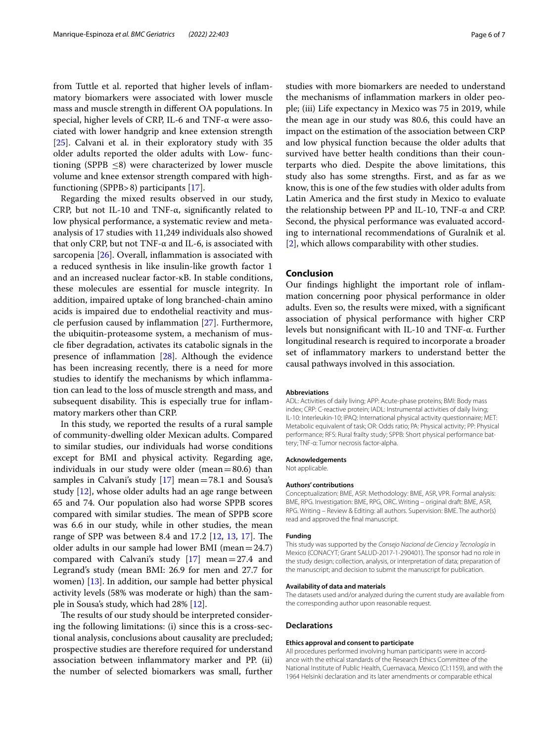from Tuttle et al. reported that higher levels of infammatory biomarkers were associated with lower muscle mass and muscle strength in diferent OA populations. In special, higher levels of CRP, IL-6 and TNF-α were associated with lower handgrip and knee extension strength [[25\]](#page-6-24). Calvani et al. in their exploratory study with 35 older adults reported the older adults with Low- functioning (SPPB ≤8) were characterized by lower muscle volume and knee extensor strength compared with highfunctioning (SPPB>8) participants [\[17](#page-6-16)].

Regarding the mixed results observed in our study, CRP, but not IL-10 and TNF-α, signifcantly related to low physical performance, a systematic review and metaanalysis of 17 studies with 11,249 individuals also showed that only CRP, but not TNF- $α$  and IL-6, is associated with sarcopenia [[26](#page-6-25)]. Overall, inflammation is associated with a reduced synthesis in like insulin-like growth factor 1 and an increased nuclear factor-κB. In stable conditions, these molecules are essential for muscle integrity. In addition, impaired uptake of long branched-chain amino acids is impaired due to endothelial reactivity and muscle perfusion caused by infammation [[27\]](#page-6-26). Furthermore, the ubiquitin-proteasome system, a mechanism of muscle fber degradation, activates its catabolic signals in the presence of infammation [\[28](#page-6-27)]. Although the evidence has been increasing recently, there is a need for more studies to identify the mechanisms by which infammation can lead to the loss of muscle strength and mass, and subsequent disability. This is especially true for inflammatory markers other than CRP.

In this study, we reported the results of a rural sample of community-dwelling older Mexican adults. Compared to similar studies, our individuals had worse conditions except for BMI and physical activity. Regarding age, individuals in our study were older (mean= $80.6$ ) than samples in Calvani's study [\[17\]](#page-6-16) mean=78.1 and Sousa's study [[12\]](#page-6-11), whose older adults had an age range between 65 and 74. Our population also had worse SPPB scores compared with similar studies. The mean of SPPB score was 6.6 in our study, while in other studies, the mean range of SPP was between 8.4 and 17.2  $[12, 13, 17]$  $[12, 13, 17]$  $[12, 13, 17]$  $[12, 13, 17]$  $[12, 13, 17]$ . The older adults in our sample had lower BMI (mean= $24.7$ ) compared with Calvani's study  $[17]$  $[17]$  mean=27.4 and Legrand's study (mean BMI: 26.9 for men and 27.7 for women) [[13\]](#page-6-12). In addition, our sample had better physical activity levels (58% was moderate or high) than the sample in Sousa's study, which had 28% [[12](#page-6-11)].

The results of our study should be interpreted considering the following limitations: (i) since this is a cross-sectional analysis, conclusions about causality are precluded; prospective studies are therefore required for understand association between infammatory marker and PP. (ii) the number of selected biomarkers was small, further studies with more biomarkers are needed to understand the mechanisms of infammation markers in older people; (iii) Life expectancy in Mexico was 75 in 2019, while the mean age in our study was 80.6, this could have an impact on the estimation of the association between CRP and low physical function because the older adults that survived have better health conditions than their counterparts who died. Despite the above limitations, this study also has some strengths. First, and as far as we know, this is one of the few studies with older adults from Latin America and the frst study in Mexico to evaluate the relationship between PP and IL-10, TNF-α and CRP. Second, the physical performance was evaluated according to international recommendations of Guralnik et al. [[2\]](#page-6-1), which allows comparability with other studies.

#### **Conclusion**

Our fndings highlight the important role of infammation concerning poor physical performance in older adults. Even so, the results were mixed, with a signifcant association of physical performance with higher CRP levels but nonsignifcant with IL-10 and TNF-α. Further longitudinal research is required to incorporate a broader set of infammatory markers to understand better the causal pathways involved in this association.

#### **Abbreviations**

ADL: Activities of daily living; APP: Acute-phase proteins; BMI: Body mass index; CRP: C-reactive protein; IADL: Instrumental activities of daily living; IL-10: Interleukin-10; IPAQ: International physical activity questionnaire; MET: Metabolic equivalent of task; OR: Odds ratio; PA: Physical activity; PP: Physical performance; RFS: Rural frailty study; SPPB: Short physical performance battery; TNF-α: Tumor necrosis factor-alpha.

#### **Acknowledgements**

Not applicable.

#### **Authors' contributions**

Conceptualization: BME, ASR. Methodology: BME, ASR, VPR. Formal analysis: BME, RPG. Investigation: BME, RPG, ORC. Writing – original draft: BME, ASR, RPG. Writing – Review & Editing: all authors. Supervision: BME. The author(s) read and approved the fnal manuscript.

#### **Funding**

This study was supported by the *Consejo Nacional de Ciencia y Tecnología* in Mexico (CONACYT; Grant SALUD-2017-1-290401). The sponsor had no role in the study design; collection, analysis, or interpretation of data; preparation of the manuscript; and decision to submit the manuscript for publication.

#### **Availability of data and materials**

The datasets used and/or analyzed during the current study are available from the corresponding author upon reasonable request.

#### **Declarations**

#### **Ethics approval and consent to participate**

All procedures performed involving human participants were in accordance with the ethical standards of the Research Ethics Committee of the National Institute of Public Health, Cuernavaca, Mexico (CI:1159), and with the 1964 Helsinki declaration and its later amendments or comparable ethical